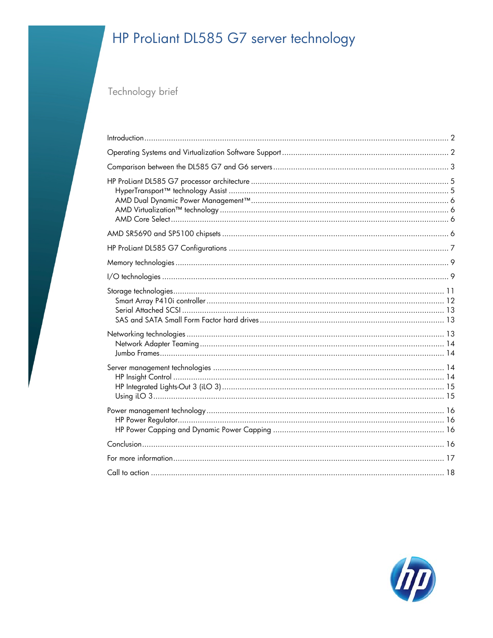# HP ProLiant DL585 G7 server technology

Technology brief

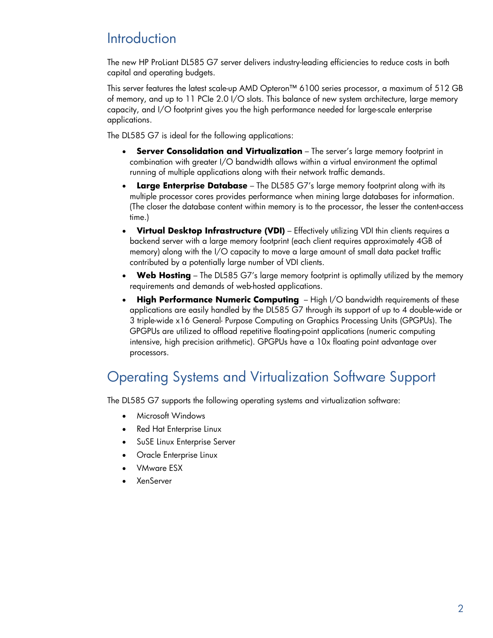# <span id="page-1-0"></span>**Introduction**

The new HP ProLiant DL585 G7 server delivers industry-leading efficiencies to reduce costs in both capital and operating budgets.

This server features the latest scale-up AMD Opteron™ 6100 series processor, a maximum of 512 GB of memory, and up to 11 PCIe 2.0 I/O slots. This balance of new system architecture, large memory capacity, and I/O footprint gives you the high performance needed for large-scale enterprise applications.

The DL585 G7 is ideal for the following applications:

- **Server Consolidation and Virtualization** The server's large memory footprint in combination with greater I/O bandwidth allows within a virtual environment the optimal running of multiple applications along with their network traffic demands.
- **Large Enterprise Database** The DL585 G7's large memory footprint along with its multiple processor cores provides performance when mining large databases for information. (The closer the database content within memory is to the processor, the lesser the content-access time.)
- **Virtual Desktop Infrastructure (VDI)** Effectively utilizing VDI thin clients requires a backend server with a large memory footprint (each client requires approximately 4GB of memory) along with the I/O capacity to move a large amount of small data packet traffic contributed by a potentially large number of VDI clients.
- **Web Hosting** The DL585 G7's large memory footprint is optimally utilized by the memory requirements and demands of web-hosted applications.
- **High Performance Numeric Computing** High I/O bandwidth requirements of these applications are easily handled by the DL585 G7 through its support of up to 4 double-wide or 3 triple-wide x16 General- Purpose Computing on Graphics Processing Units (GPGPUs). The GPGPUs are utilized to offload repetitive floating-point applications (numeric computing intensive, high precision arithmetic). GPGPUs have a 10x floating point advantage over processors.

# <span id="page-1-1"></span>Operating Systems and Virtualization Software Support

The DL585 G7 supports the following operating systems and virtualization software:

- Microsoft Windows
- Red Hat Enterprise Linux
- SuSE Linux Enterprise Server
- Oracle Enterprise Linux
- VMware ESX
- XenServer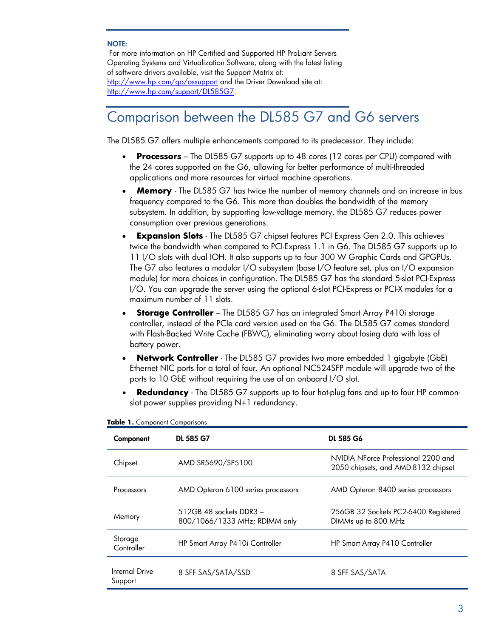#### NOTE:

For more information on HP Certified and Supported HP ProLiant Servers Operating Systems and Virtualization Software, along with the latest listing of software drivers available, visit the Support Matrix at: <http://www.hp.com/go/ossupport>and the Driver Download site at: [http://www.hp.com/support/DL585G7.](http://www.hp.com/support/DL585G7)

# <span id="page-2-0"></span>Comparison between the DL585 G7 and G6 servers

The DL585 G7 offers multiple enhancements compared to its predecessor. They include:

- **Processors** The DL585 G7 supports up to 48 cores (12 cores per CPU) compared with the 24 cores supported on the G6, allowing for better performance of multi-threaded applications and more resources for virtual machine operations.
- **Memory**  The DL585 G7 has twice the number of memory channels and an increase in bus frequency compared to the G6. This more than doubles the bandwidth of the memory subsystem. In addition, by supporting low-voltage memory, the DL585 G7 reduces power consumption over previous generations.
- **Expansion Slots** The DL585 G7 chipset features PCI Express Gen 2.0. This achieves twice the bandwidth when compared to PCI-Express 1.1 in G6. The DL585 G7 supports up to 11 I/O slots with dual IOH. It also supports up to four 300 W Graphic Cards and GPGPUs. The G7 also features a modular I/O subsystem (base I/O feature set, plus an I/O expansion module) for more choices in configuration. The DL585 G7 has the standard 5-slot PCI-Express I/O. You can upgrade the server using the optional 6-slot PCI-Express or PCI-X modules for a maximum number of 11 slots.
- **Storage Controller** The DL585 G7 has an integrated Smart Array P410i storage controller, instead of the PCIe card version used on the G6. The DL585 G7 comes standard with Flash-Backed Write Cache (FBWC), eliminating worry about losing data with loss of battery power.
- **Network Controller** The DL585 G7 provides two more embedded 1 gigabyte (GbE) Ethernet NIC ports for a total of four. An optional NC524SFP module will upgrade two of the ports to 10 GbE without requiring the use of an onboard I/O slot.
- **Redundancy** The DL585 G7 supports up to four hot-plug fans and up to four HP commonslot power supplies providing N+1 redundancy.

| Component                 | DL 585 G7                                                | DL 585 G6                                                                  |  |
|---------------------------|----------------------------------------------------------|----------------------------------------------------------------------------|--|
| Chipset                   | AMD SR5690/SP5100                                        | NVIDIA NForce Professional 2200 and<br>2050 chipsets, and AMD-8132 chipset |  |
| Processors                | AMD Opteron 6100 series processors                       | AMD Opteron 8400 series processors                                         |  |
| Memory                    | 512GB 48 sockets DDR3 -<br>800/1066/1333 MHz; RDIMM only | 256GB 32 Sockets PC2-6400 Registered<br>DIMMs up to 800 MHz                |  |
| Storage<br>Controller     | HP Smart Array P410i Controller                          | HP Smart Array P410 Controller                                             |  |
| Internal Drive<br>Support | 8 SFF SAS/SATA/SSD                                       | 8 SFF SAS/SATA                                                             |  |

#### **Table 1.** Component Comparisons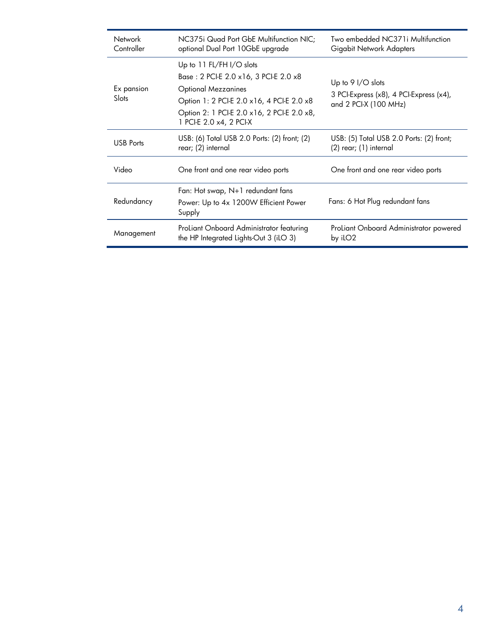| Network<br>Controller                                                                                 | NC375i Quad Port GbE Multifunction NIC;<br>optional Dual Port 10GbE upgrade                                                                                                                                           | Two embedded NC371i Multifunction<br>Gigabit Network Adapters                           |  |
|-------------------------------------------------------------------------------------------------------|-----------------------------------------------------------------------------------------------------------------------------------------------------------------------------------------------------------------------|-----------------------------------------------------------------------------------------|--|
| Ex pansion<br>Slots                                                                                   | Up to 11 FL/FH I/O slots<br>Base: 2 PCI-E 2.0 x16, 3 PCI-E 2.0 x8<br><b>Optional Mezzanines</b><br>Option 1: 2 PCI-E 2.0 x16, 4 PCI-E 2.0 x8<br>Option 2: 1 PCI-E 2.0 x16, 2 PCI-E 2.0 x8,<br>1 PCI-E 2.0 x4, 2 PCI-X | Up to 9 $I/O$ slots<br>3 PCI-Express (x8), 4 PCI-Express (x4),<br>and 2 PCI-X (100 MHz) |  |
| <b>USB Ports</b>                                                                                      | USB: (6) Total USB 2.0 Ports: (2) front; (2)<br>rear; (2) internal                                                                                                                                                    | USB: (5) Total USB 2.0 Ports: (2) front;<br>(2) rear; (1) internal                      |  |
| Video                                                                                                 | One front and one rear video ports                                                                                                                                                                                    | One front and one rear video ports                                                      |  |
| Redundancy                                                                                            | Fan: Hot swap, $N+1$ redundant fans<br>Power: Up to 4x 1200W Efficient Power<br>Supply                                                                                                                                | Fans: 6 Hot Plug redundant fans                                                         |  |
| ProLiant Onboard Administrator featuring<br>Management<br>the HP Integrated Lights-Out $3$ (iLO $3$ ) |                                                                                                                                                                                                                       | ProLiant Onboard Administrator powered<br>by iLO <sub>2</sub>                           |  |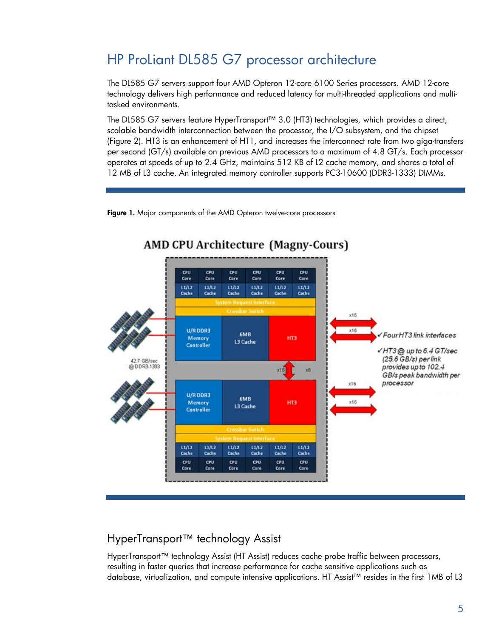# <span id="page-4-0"></span>HP ProLiant DL585 G7 processor architecture

The DL585 G7 servers support four AMD Opteron 12-core 6100 Series processors. AMD 12-core technology delivers high performance and reduced latency for multi-threaded applications and multitasked environments.

The DL585 G7 servers feature HyperTransport™ 3.0 (HT3) technologies, which provides a direct, scalable bandwidth interconnection between the processor, the I/O subsystem, and the chipset (Figure 2). HT3 is an enhancement of HT1, and increases the interconnect rate from two giga-transfers per second (GT/s) available on previous AMD processors to a maximum of 4.8 GT/s. Each processor operates at speeds of up to 2.4 GHz, maintains 512 KB of L2 cache memory, and shares a total of 12 MB of L3 cache. An integrated memory controller supports PC3-10600 (DDR3-1333) DIMMs.

Figure 1. Major components of the AMD Opteron twelve-core processors



### <span id="page-4-1"></span>HyperTransport™ technology Assist

HyperTransport™ technology Assist (HT Assist) reduces cache probe traffic between processors, resulting in faster queries that increase performance for cache sensitive applications such as database, virtualization, and compute intensive applications. HT Assist™ resides in the first 1MB of L3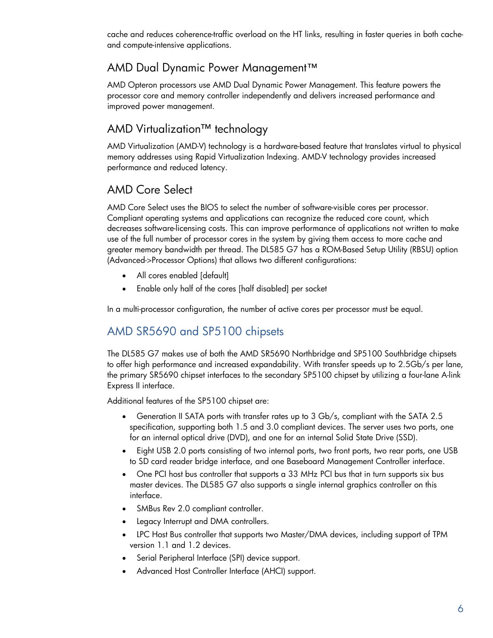cache and reduces coherence-traffic overload on the HT links, resulting in faster queries in both cacheand compute-intensive applications.

### <span id="page-5-0"></span>AMD Dual Dynamic Power Management™

AMD Opteron processors use AMD Dual Dynamic Power Management. This feature powers the processor core and memory controller independently and delivers increased performance and improved power management.

### <span id="page-5-1"></span>AMD Virtualization™ technology

AMD Virtualization (AMD-V) technology is a hardware-based feature that translates virtual to physical memory addresses using Rapid Virtualization Indexing. AMD-V technology provides increased performance and reduced latency.

### <span id="page-5-2"></span>AMD Core Select

AMD Core Select uses the BIOS to select the number of software-visible cores per processor. Compliant operating systems and applications can recognize the reduced core count, which decreases software-licensing costs. This can improve performance of applications not written to make use of the full number of processor cores in the system by giving them access to more cache and greater memory bandwidth per thread. The DL585 G7 has a ROM-Based Setup Utility (RBSU) option (Advanced->Processor Options) that allows two different configurations:

- All cores enabled [default]
- Enable only half of the cores [half disabled] per socket

In a multi-processor configuration, the number of active cores per processor must be equal.

### <span id="page-5-3"></span>AMD SR5690 and SP5100 chipsets

The DL585 G7 makes use of both the AMD SR5690 Northbridge and SP5100 Southbridge chipsets to offer high performance and increased expandability. With transfer speeds up to 2.5Gb/s per lane, the primary SR5690 chipset interfaces to the secondary SP5100 chipset by utilizing a four-lane A-link Express II interface.

Additional features of the SP5100 chipset are:

- Generation II SATA ports with transfer rates up to 3 Gb/s, compliant with the SATA 2.5 specification, supporting both 1.5 and 3.0 compliant devices. The server uses two ports, one for an internal optical drive (DVD), and one for an internal Solid State Drive (SSD).
- Eight USB 2.0 ports consisting of two internal ports, two front ports, two rear ports, one USB to SD card reader bridge interface, and one Baseboard Management Controller interface.
- One PCI host bus controller that supports a 33 MHz PCI bus that in turn supports six bus master devices. The DL585 G7 also supports a single internal graphics controller on this interface.
- SMBus Rev 2.0 compliant controller.
- Legacy Interrupt and DMA controllers.
- LPC Host Bus controller that supports two Master/DMA devices, including support of TPM version 1.1 and 1.2 devices.
- Serial Peripheral Interface (SPI) device support.
- Advanced Host Controller Interface (AHCI) support.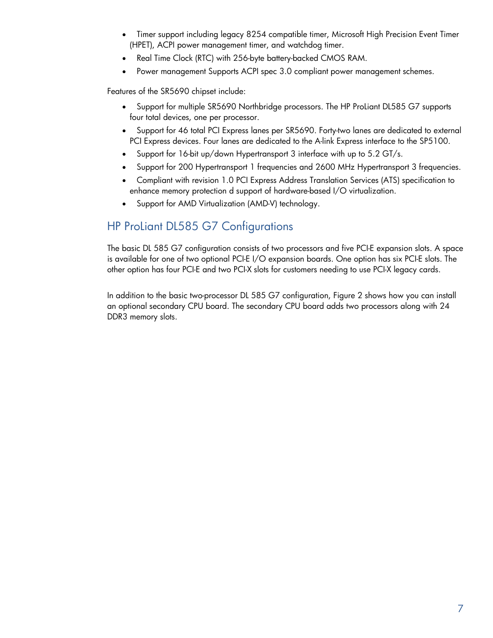- Timer support including legacy 8254 compatible timer, Microsoft High Precision Event Timer (HPET), ACPI power management timer, and watchdog timer.
- Real Time Clock (RTC) with 256-byte battery-backed CMOS RAM.
- Power management Supports ACPI spec 3.0 compliant power management schemes.

Features of the SR5690 chipset include:

- Support for multiple SR5690 Northbridge processors. The HP ProLiant DL585 G7 supports four total devices, one per processor.
- Support for 46 total PCI Express lanes per SR5690. Forty-two lanes are dedicated to external PCI Express devices. Four lanes are dedicated to the A-link Express interface to the SP5100.
- Support for 16-bit up/down Hypertransport 3 interface with up to 5.2 GT/s.
- Support for 200 Hypertransport 1 frequencies and 2600 MHz Hypertransport 3 frequencies.
- Compliant with revision 1.0 PCI Express Address Translation Services (ATS) specification to enhance memory protection d support of hardware-based I/O virtualization.
- Support for AMD Virtualization (AMD-V) technology.

### <span id="page-6-0"></span>HP ProLiant DL585 G7 Configurations

The basic DL 585 G7 configuration consists of two processors and five PCI-E expansion slots. A space is available for one of two optional PCI-E I/O expansion boards. One option has six PCI-E slots. The other option has four PCI-E and two PCI-X slots for customers needing to use PCI-X legacy cards.

In addition to the basic two-processor DL 585 G7 configuration, Figure 2 shows how you can install an optional secondary CPU board. The secondary CPU board adds two processors along with 24 DDR3 memory slots.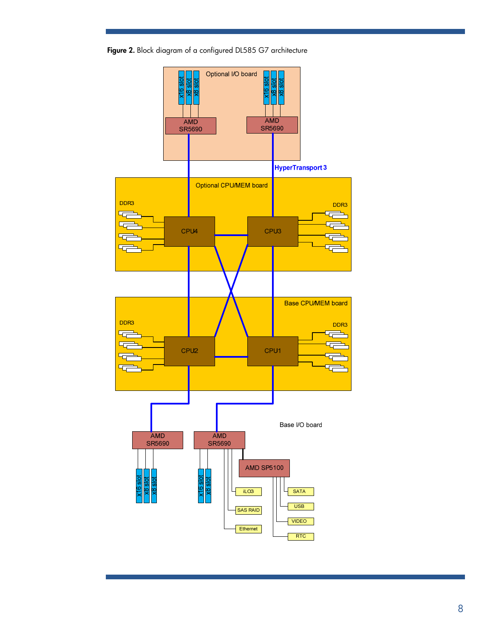Figure 2. Block diagram of a configured DL585 G7 architecture

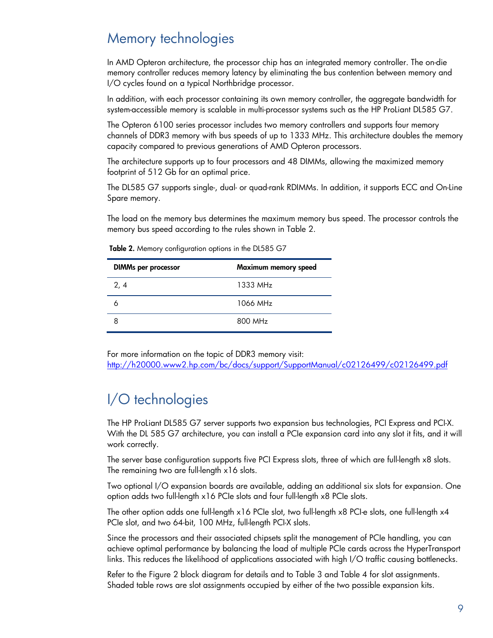### <span id="page-8-0"></span>Memory technologies

In AMD Opteron architecture, the processor chip has an integrated memory controller. The on-die memory controller reduces memory latency by eliminating the bus contention between memory and I/O cycles found on a typical Northbridge processor.

In addition, with each processor containing its own memory controller, the aggregate bandwidth for system-accessible memory is scalable in multi-processor systems such as the HP ProLiant DL585 G7.

The Opteron 6100 series processor includes two memory controllers and supports four memory channels of DDR3 memory with bus speeds of up to 1333 MHz. This architecture doubles the memory capacity compared to previous generations of AMD Opteron processors.

The architecture supports up to four processors and 48 DIMMs, allowing the maximized memory footprint of 512 Gb for an optimal price.

The DL585 G7 supports single-, dual- or quad-rank RDIMMs. In addition, it supports ECC and On-Line Spare memory.

The load on the memory bus determines the maximum memory bus speed. The processor controls the memory bus speed according to the rules shown in Table 2.

| <b>DIMMs per processor</b> | Maximum memory speed |
|----------------------------|----------------------|
| 2, 4                       | $1333 \text{ MHz}$   |
|                            | 1066 MH <sub>7</sub> |
|                            | 800 MHz              |

Table 2. Memory configuration options in the DL585 G7

For more information on the topic of DDR3 memory visit: <http://h20000.www2.hp.com/bc/docs/support/SupportManual/c02126499/c02126499.pdf>

# <span id="page-8-1"></span>I/O technologies

The HP ProLiant DL585 G7 server supports two expansion bus technologies, PCI Express and PCI-X. With the DL 585 G7 architecture, you can install a PCIe expansion card into any slot it fits, and it will work correctly.

The server base configuration supports five PCI Express slots, three of which are full-length x8 slots. The remaining two are full-length x16 slots.

Two optional I/O expansion boards are available, adding an additional six slots for expansion. One option adds two full-length x16 PCIe slots and four full-length x8 PCIe slots.

The other option adds one full-length x16 PCIe slot, two full-length x8 PCI-e slots, one full-length x4 PCIe slot, and two 64-bit, 100 MHz, full-length PCI-X slots.

Since the processors and their associated chipsets split the management of PCIe handling, you can achieve optimal performance by balancing the load of multiple PCIe cards across the HyperTransport links. This reduces the likelihood of applications associated with high I/O traffic causing bottlenecks.

Refer to the Figure 2 block diagram for details and to Table 3 and Table 4 for slot assignments. Shaded table rows are slot assignments occupied by either of the two possible expansion kits.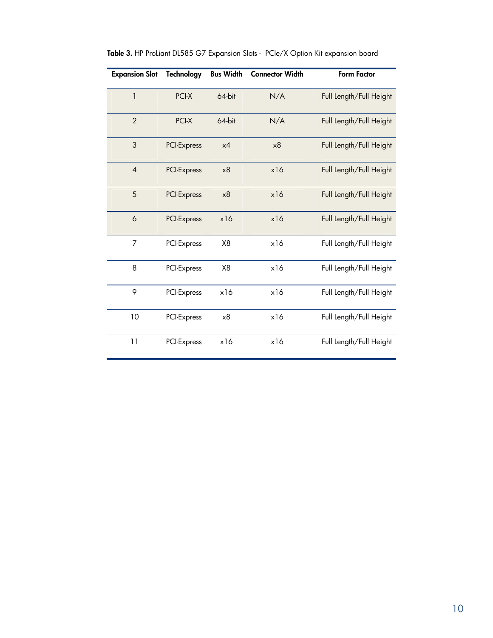| <b>Expansion Slot</b> | <b>Technology</b> | <b>Bus Width</b> | <b>Connector Width</b> | <b>Form Factor</b>      |
|-----------------------|-------------------|------------------|------------------------|-------------------------|
| 1                     | PCI-X             | 64-bit           | N/A                    | Full Length/Full Height |
| $\overline{2}$        | PCI-X             | 64-bit           | N/A                    | Full Length/Full Height |
| 3                     | PCI-Express       | x4               | x8                     | Full Length/Full Height |
| $\overline{4}$        | PCI-Express       | x8               | x16                    | Full Length/Full Height |
| 5                     | PCI-Express       | x8               | x16                    | Full Length/Full Height |
| 6                     | PCI-Express       | x16              | x16                    | Full Length/Full Height |
| 7                     | PCI-Express       | X <sub>8</sub>   | x16                    | Full Length/Full Height |
| 8                     | PCI-Express       | X8               | x16                    | Full Length/Full Height |
| 9                     | PCI-Express       | x16              | x16                    | Full Length/Full Height |
| 10                    | PCI-Express       | x8               | x16                    | Full Length/Full Height |
| 11                    | PCI-Express       | x16              | x16                    | Full Length/Full Height |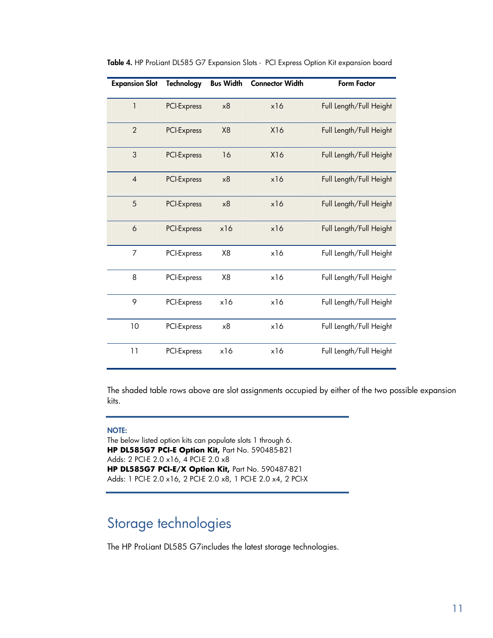| <b>Expansion Slot</b> | <b>Technology</b>  | <b>Bus Width</b> | <b>Connector Width</b> | <b>Form Factor</b>      |
|-----------------------|--------------------|------------------|------------------------|-------------------------|
| $\mathbf{1}$          | PCI-Express        | x8               | x16                    | Full Length/Full Height |
| $\overline{2}$        | PCI-Express        | X <sub>8</sub>   | X16                    | Full Length/Full Height |
| 3                     | <b>PCI-Express</b> | 16               | X16                    | Full Length/Full Height |
| $\overline{4}$        | PCI-Express        | x8               | x16                    | Full Length/Full Height |
| 5                     | PCI-Express        | x8               | x16                    | Full Length/Full Height |
| 6                     | PCI-Express        | x16              | x16                    | Full Length/Full Height |
| 7                     | PCI-Express        | X <sub>8</sub>   | x16                    | Full Length/Full Height |
| 8                     | PCI-Express        | X <sub>8</sub>   | x16                    | Full Length/Full Height |
| 9                     | PCI-Express        | x16              | x16                    | Full Length/Full Height |
| 10                    | PCI-Express        | x8               | x16                    | Full Length/Full Height |
| 11                    | PCI-Express        | x16              | x16                    | Full Length/Full Height |

Table 4. HP ProLiant DL585 G7 Expansion Slots - PCI Express Option Kit expansion board

The shaded table rows above are slot assignments occupied by either of the two possible expansion kits.

#### NOTE:

The below listed option kits can populate slots 1 through 6. **HP DL585G7 PCI-E Option Kit,** Part No. 590485-B21 Adds: 2 PCI-E 2.0 x16, 4 PCI-E 2.0 x8 **HP DL585G7 PCI-E/X Option Kit,** Part No. 590487-B21 Adds: 1 PCI-E 2.0 x16, 2 PCI-E 2.0 x8, 1 PCI-E 2.0 x4, 2 PCI-X

## <span id="page-10-0"></span>Storage technologies

The HP ProLiant DL585 G7includes the latest storage technologies.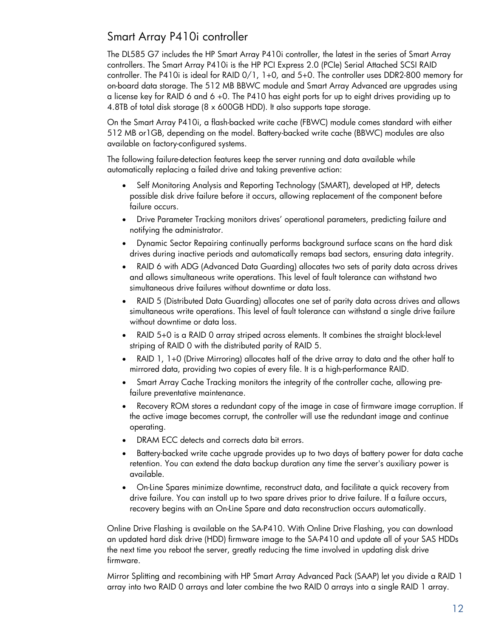### <span id="page-11-0"></span>Smart Array P410i controller

The DL585 G7 includes the HP Smart Array P410i controller, the latest in the series of Smart Array controllers. The Smart Array P410i is the HP PCI Express 2.0 (PCIe) Serial Attached SCSI RAID controller. The P410i is ideal for RAID 0/1, 1+0, and 5+0. The controller uses DDR2-800 memory for on-board data storage. The 512 MB BBWC module and Smart Array Advanced are upgrades using a license key for RAID 6 and 6 +0. The P410 has eight ports for up to eight drives providing up to 4.8TB of total disk storage (8 x 600GB HDD). It also supports tape storage.

On the Smart Array P410i, a flash-backed write cache (FBWC) module comes standard with either 512 MB or1GB, depending on the model. Battery-backed write cache (BBWC) modules are also available on factory-configured systems.

The following failure-detection features keep the server running and data available while automatically replacing a failed drive and taking preventive action:

- Self Monitoring Analysis and Reporting Technology (SMART), developed at HP, detects possible disk drive failure before it occurs, allowing replacement of the component before failure occurs.
- Drive Parameter Tracking monitors drives' operational parameters, predicting failure and notifying the administrator.
- Dynamic Sector Repairing continually performs background surface scans on the hard disk drives during inactive periods and automatically remaps bad sectors, ensuring data integrity.
- RAID 6 with ADG (Advanced Data Guarding) allocates two sets of parity data across drives and allows simultaneous write operations. This level of fault tolerance can withstand two simultaneous drive failures without downtime or data loss.
- RAID 5 (Distributed Data Guarding) allocates one set of parity data across drives and allows simultaneous write operations. This level of fault tolerance can withstand a single drive failure without downtime or data loss.
- RAID 5+0 is a RAID 0 array striped across elements. It combines the straight block-level striping of RAID 0 with the distributed parity of RAID 5.
- RAID 1, 1+0 (Drive Mirroring) allocates half of the drive array to data and the other half to mirrored data, providing two copies of every file. It is a high-performance RAID.
- Smart Array Cache Tracking monitors the integrity of the controller cache, allowing prefailure preventative maintenance.
- Recovery ROM stores a redundant copy of the image in case of firmware image corruption. If the active image becomes corrupt, the controller will use the redundant image and continue operating.
- DRAM ECC detects and corrects data bit errors.
- Battery-backed write cache upgrade provides up to two days of battery power for data cache retention. You can extend the data backup duration any time the server's auxiliary power is available.
- On-Line Spares minimize downtime, reconstruct data, and facilitate a quick recovery from drive failure. You can install up to two spare drives prior to drive failure. If a failure occurs, recovery begins with an On-Line Spare and data reconstruction occurs automatically.

Online Drive Flashing is available on the SA-P410. With Online Drive Flashing, you can download an updated hard disk drive (HDD) firmware image to the SA-P410 and update all of your SAS HDDs the next time you reboot the server, greatly reducing the time involved in updating disk drive firmware.

Mirror Splitting and recombining with HP Smart Array Advanced Pack (SAAP) let you divide a RAID 1 array into two RAID 0 arrays and later combine the two RAID 0 arrays into a single RAID 1 array.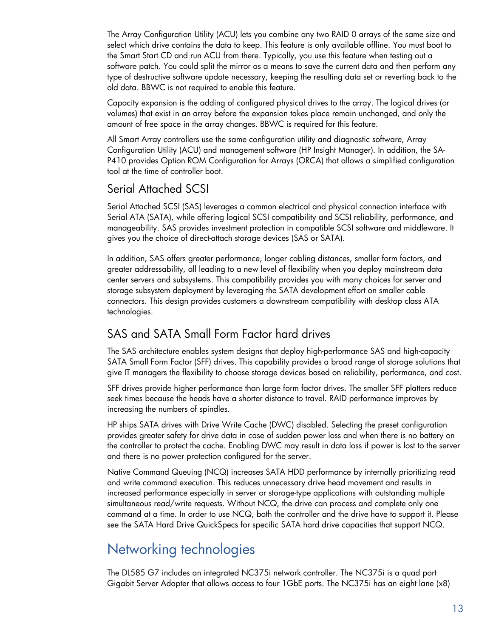The Array Configuration Utility (ACU) lets you combine any two RAID 0 arrays of the same size and select which drive contains the data to keep. This feature is only available offline. You must boot to the Smart Start CD and run ACU from there. Typically, you use this feature when testing out a software patch. You could split the mirror as a means to save the current data and then perform any type of destructive software update necessary, keeping the resulting data set or reverting back to the old data. BBWC is not required to enable this feature.

Capacity expansion is the adding of configured physical drives to the array. The logical drives (or volumes) that exist in an array before the expansion takes place remain unchanged, and only the amount of free space in the array changes. BBWC is required for this feature.

All Smart Array controllers use the same configuration utility and diagnostic software, Array Configuration Utility (ACU) and management software (HP Insight Manager). In addition, the SA-P410 provides Option ROM Configuration for Arrays (ORCA) that allows a simplified configuration tool at the time of controller boot.

### <span id="page-12-0"></span>Serial Attached SCSI

Serial Attached SCSI (SAS) leverages a common electrical and physical connection interface with Serial ATA (SATA), while offering logical SCSI compatibility and SCSI reliability, performance, and manageability. SAS provides investment protection in compatible SCSI software and middleware. It gives you the choice of direct-attach storage devices (SAS or SATA).

In addition, SAS offers greater performance, longer cabling distances, smaller form factors, and greater addressability, all leading to a new level of flexibility when you deploy mainstream data center servers and subsystems. This compatibility provides you with many choices for server and storage subsystem deployment by leveraging the SATA development effort on smaller cable connectors. This design provides customers a downstream compatibility with desktop class ATA technologies.

### <span id="page-12-1"></span>SAS and SATA Small Form Factor hard drives

The SAS architecture enables system designs that deploy high-performance SAS and high-capacity SATA Small Form Factor (SFF) drives. This capability provides a broad range of storage solutions that give IT managers the flexibility to choose storage devices based on reliability, performance, and cost.

SFF drives provide higher performance than large form factor drives. The smaller SFF platters reduce seek times because the heads have a shorter distance to travel. RAID performance improves by increasing the numbers of spindles.

HP ships SATA drives with Drive Write Cache (DWC) disabled. Selecting the preset configuration provides greater safety for drive data in case of sudden power loss and when there is no battery on the controller to protect the cache. Enabling DWC may result in data loss if power is lost to the server and there is no power protection configured for the server.

Native Command Queuing (NCQ) increases SATA HDD performance by internally prioritizing read and write command execution. This reduces unnecessary drive head movement and results in increased performance especially in server or storage-type applications with outstanding multiple simultaneous read/write requests. Without NCQ, the drive can process and complete only one command at a time. In order to use NCQ, both the controller and the drive have to support it. Please see the SATA Hard Drive QuickSpecs for specific SATA hard drive capacities that support NCQ.

# <span id="page-12-2"></span>Networking technologies

The DL585 G7 includes an integrated NC375i network controller. The NC375i is a quad port Gigabit Server Adapter that allows access to four 1GbE ports. The NC375i has an eight lane (x8)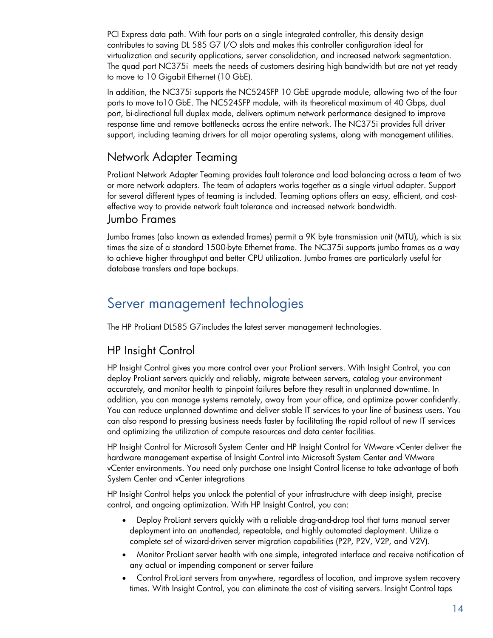PCI Express data path. With four ports on a single integrated controller, this density design contributes to saving DL 585 G7 I/O slots and makes this controller configuration ideal for virtualization and security applications, server consolidation, and increased network segmentation. The quad port NC375i meets the needs of customers desiring high bandwidth but are not yet ready to move to 10 Gigabit Ethernet (10 GbE).

In addition, the NC375i supports the NC524SFP 10 GbE upgrade module, allowing two of the four ports to move to10 GbE. The NC524SFP module, with its theoretical maximum of 40 Gbps, dual port, bi-directional full duplex mode, delivers optimum network performance designed to improve response time and remove bottlenecks across the entire network. The NC375i provides full driver support, including teaming drivers for all major operating systems, along with management utilities.

#### <span id="page-13-0"></span>Network Adapter Teaming

ProLiant Network Adapter Teaming provides fault tolerance and load balancing across a team of two or more network adapters. The team of adapters works together as a single virtual adapter. Support for several different types of teaming is included. Teaming options offers an easy, efficient, and costeffective way to provide network fault tolerance and increased network bandwidth.

#### <span id="page-13-1"></span>Jumbo Frames

Jumbo frames (also known as extended frames) permit a 9K byte transmission unit (MTU), which is six times the size of a standard 1500-byte Ethernet frame. The NC375i supports jumbo frames as a way to achieve higher throughput and better CPU utilization. Jumbo frames are particularly useful for database transfers and tape backups.

## <span id="page-13-2"></span>Server management technologies

The HP ProLiant DL585 G7includes the latest server management technologies.

### <span id="page-13-3"></span>HP Insight Control

HP Insight Control gives you more control over your ProLiant servers. With Insight Control, you can deploy ProLiant servers quickly and reliably, migrate between servers, catalog your environment accurately, and monitor health to pinpoint failures before they result in unplanned downtime. In addition, you can manage systems remotely, away from your office, and optimize power confidently. You can reduce unplanned downtime and deliver stable IT services to your line of business users. You can also respond to pressing business needs faster by facilitating the rapid rollout of new IT services and optimizing the utilization of compute resources and data center facilities.

HP Insight Control for Microsoft System Center and HP Insight Control for VMware vCenter deliver the hardware management expertise of Insight Control into Microsoft System Center and VMware vCenter environments. You need only purchase one Insight Control license to take advantage of both System Center and vCenter integrations

HP Insight Control helps you unlock the potential of your infrastructure with deep insight, precise control, and ongoing optimization. With HP Insight Control, you can:

- Deploy ProLiant servers quickly with a reliable drag-and-drop tool that turns manual server deployment into an unattended, repeatable, and highly automated deployment. Utilize a complete set of wizard-driven server migration capabilities (P2P, P2V, V2P, and V2V).
- Monitor ProLiant server health with one simple, integrated interface and receive notification of any actual or impending component or server failure
- Control ProLiant servers from anywhere, regardless of location, and improve system recovery times. With Insight Control, you can eliminate the cost of visiting servers. Insight Control taps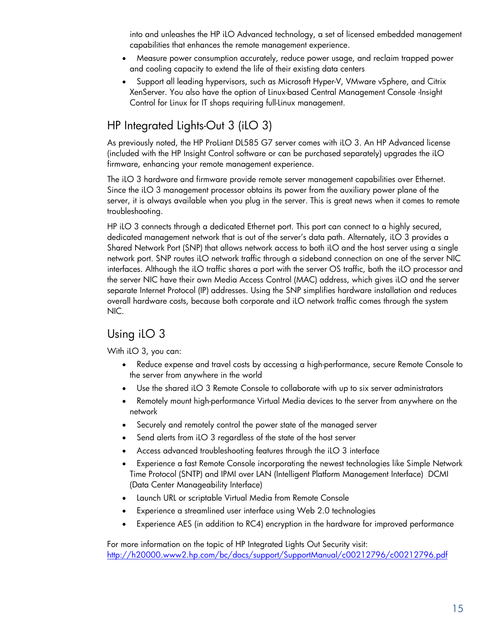into and unleashes the HP iLO Advanced technology, a set of licensed embedded management capabilities that enhances the remote management experience.

- Measure power consumption accurately, reduce power usage, and reclaim trapped power and cooling capacity to extend the life of their existing data centers
- Support all leading hypervisors, such as Microsoft Hyper-V, VMware vSphere, and Citrix XenServer. You also have the option of Linux-based Central Management Console -Insight Control for Linux for IT shops requiring full-Linux management.

### <span id="page-14-0"></span>HP Integrated Lights-Out 3 (iLO 3)

As previously noted, the HP ProLiant DL585 G7 server comes with iLO 3. An HP Advanced license (included with the HP Insight Control software or can be purchased separately) upgrades the iLO firmware, enhancing your remote management experience.

The iLO 3 hardware and firmware provide remote server management capabilities over Ethernet. Since the iLO 3 management processor obtains its power from the auxiliary power plane of the server, it is always available when you plug in the server. This is great news when it comes to remote troubleshooting.

HP iLO 3 connects through a dedicated Ethernet port. This port can connect to a highly secured, dedicated management network that is out of the server's data path. Alternately, iLO 3 provides a Shared Network Port (SNP) that allows network access to both iLO and the host server using a single network port. SNP routes iLO network traffic through a sideband connection on one of the server NIC interfaces. Although the iLO traffic shares a port with the server OS traffic, both the iLO processor and the server NIC have their own Media Access Control (MAC) address, which gives iLO and the server separate Internet Protocol (IP) addresses. Using the SNP simplifies hardware installation and reduces overall hardware costs, because both corporate and iLO network traffic comes through the system NIC.

### <span id="page-14-1"></span>Using iLO 3

With iLO 3, you can:

- Reduce expense and travel costs by accessing a high-performance, secure Remote Console to the server from anywhere in the world
- Use the shared iLO 3 Remote Console to collaborate with up to six server administrators
- Remotely mount high-performance Virtual Media devices to the server from anywhere on the network
- Securely and remotely control the power state of the managed server
- Send alerts from iLO 3 regardless of the state of the host server
- Access advanced troubleshooting features through the iLO 3 interface
- Experience a fast Remote Console incorporating the newest technologies like Simple Network Time Protocol (SNTP) and IPMI over LAN (Intelligent Platform Management Interface) DCMI (Data Center Manageability Interface)
- Launch URL or scriptable Virtual Media from Remote Console
- Experience a streamlined user interface using Web 2.0 technologies
- Experience AES (in addition to RC4) encryption in the hardware for improved performance

For more information on the topic of HP Integrated Lights Out Security visit: <http://h20000.www2.hp.com/bc/docs/support/SupportManual/c00212796/c00212796.pdf>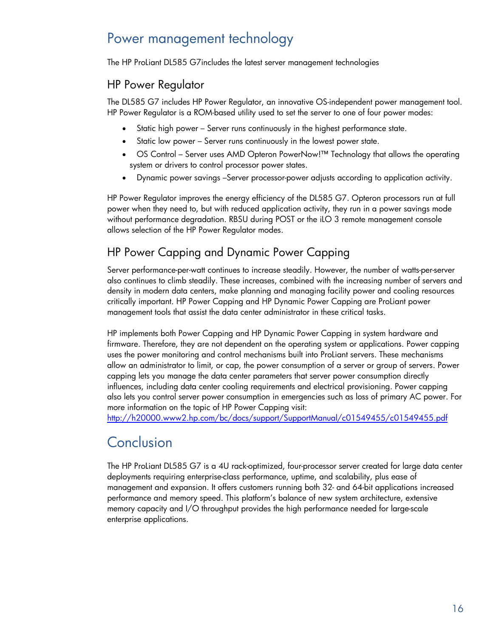# <span id="page-15-0"></span>Power management technology

The HP ProLiant DL585 G7includes the latest server management technologies

### <span id="page-15-1"></span>HP Power Regulator

The DL585 G7 includes HP Power Regulator, an innovative OS-independent power management tool. HP Power Regulator is a ROM-based utility used to set the server to one of four power modes:

- Static high power Server runs continuously in the highest performance state.
- Static low power Server runs continuously in the lowest power state.
- OS Control Server uses AMD Opteron PowerNow!™ Technology that allows the operating system or drivers to control processor power states.
- Dynamic power savings –Server processor-power adjusts according to application activity.

HP Power Regulator improves the energy efficiency of the DL585 G7. Opteron processors run at full power when they need to, but with reduced application activity, they run in a power savings mode without performance degradation. RBSU during POST or the iLO 3 remote management console allows selection of the HP Power Regulator modes.

### <span id="page-15-2"></span>HP Power Capping and Dynamic Power Capping

Server performance-per-watt continues to increase steadily. However, the number of watts-per-server also continues to climb steadily. These increases, combined with the increasing number of servers and density in modern data centers, make planning and managing facility power and cooling resources critically important. HP Power Capping and HP Dynamic Power Capping are ProLiant power management tools that assist the data center administrator in these critical tasks.

HP implements both Power Capping and HP Dynamic Power Capping in system hardware and firmware. Therefore, they are not dependent on the operating system or applications. Power capping uses the power monitoring and control mechanisms built into ProLiant servers. These mechanisms allow an administrator to limit, or cap, the power consumption of a server or group of servers. Power capping lets you manage the data center parameters that server power consumption directly influences, including data center cooling requirements and electrical provisioning. Power capping also lets you control server power consumption in emergencies such as loss of primary AC power. For more information on the topic of HP Power Capping visit:

<http://h20000.www2.hp.com/bc/docs/support/SupportManual/c01549455/c01549455.pdf>

# <span id="page-15-3"></span>Conclusion

The HP ProLiant DL585 G7 is a 4U rack-optimized, four-processor server created for large data center deployments requiring enterprise-class performance, uptime, and scalability, plus ease of management and expansion. It offers customers running both 32- and 64-bit applications increased performance and memory speed. This platform's balance of new system architecture, extensive memory capacity and I/O throughput provides the high performance needed for large-scale enterprise applications.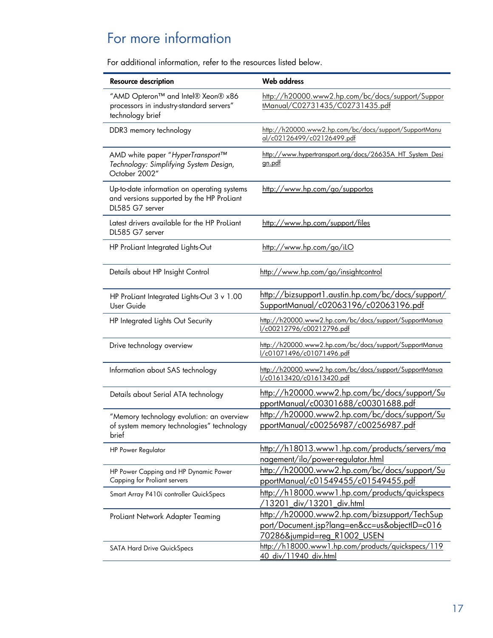# <span id="page-16-0"></span>For more information

For additional information, refer to the resources listed below.

| <b>Resource description</b>                                                                                 | <b>Web address</b>                                                                                                                      |
|-------------------------------------------------------------------------------------------------------------|-----------------------------------------------------------------------------------------------------------------------------------------|
| "AMD Opteron™ and Intel® Xeon® x86<br>processors in industry-standard servers"<br>technology brief          | http://h20000.www2.hp.com/bc/docs/support/Suppor<br>tManual/C02731435/C02731435.pdf                                                     |
| DDR3 memory technology                                                                                      | http://h20000.www2.hp.com/bc/docs/support/SupportManu<br>al/c02126499/c02126499.pdf                                                     |
| AMD white paper "HyperTransport™<br>Technology: Simplifying System Design,<br>October 2002"                 | http://www.hypertransport.org/docs/26635A HT System Desi<br>gn.pdf                                                                      |
| Up-to-date information on operating systems<br>and versions supported by the HP ProLiant<br>DL585 G7 server | http://www.hp.com/go/supportos                                                                                                          |
| Latest drivers available for the HP ProLiant<br>DL585 G7 server                                             | http://www.hp.com/support/files                                                                                                         |
| HP ProLiant Integrated Lights-Out                                                                           | http://www.hp.com/go/ilO                                                                                                                |
| Details about HP Insight Control                                                                            | http://www.hp.com/go/insightcontrol                                                                                                     |
| HP ProLiant Integrated Lights-Out 3 v 1.00<br>User Guide                                                    | http://bizsupport1.austin.hp.com/bc/docs/support/<br>SupportManual/c02063196/c02063196.pdf                                              |
| HP Integrated Lights Out Security                                                                           | http://h20000.www2.hp.com/bc/docs/support/SupportManua<br>l/c00212796/c00212796.pdf                                                     |
| Drive technology overview                                                                                   | http://h20000.www2.hp.com/bc/docs/support/SupportManua<br>l/c01071496/c01071496.pdf                                                     |
| Information about SAS technology                                                                            | http://h20000.www2.hp.com/bc/docs/support/SupportManua<br>l/c01613420/c01613420.pdf                                                     |
| Details about Serial ATA technology                                                                         | http://h20000.www2.hp.com/bc/docs/support/Su<br>pportManual/c00301688/c00301688.pdf                                                     |
| "Memory technology evolution: an overview<br>of system memory technologies" technology<br>brief             | http://h20000.www2.hp.com/bc/docs/support/Su<br>pportManual/c00256987/c00256987.pdf                                                     |
| <b>HP Power Regulator</b>                                                                                   | http://h18013.www1.hp.com/products/servers/ma<br>nagement/ilo/power-requlator.html                                                      |
| HP Power Capping and HP Dynamic Power<br>Capping for Proliant servers                                       | http://h20000.www2.hp.com/bc/docs/support/Su<br>pportManual/c01549455/c01549455.pdf                                                     |
| Smart Array P410i controller QuickSpecs                                                                     | http://h18000.www1.hp.com/products/quickspecs<br>13201_div/13201_div.html                                                               |
| ProLiant Network Adapter Teaming                                                                            | http://h20000.www2.hp.com/bizsupport/TechSup<br>port/Document.jsp?lang=en&cc=us&objectID=c016<br><u>70286&amp;jumpid=reg_R1002_USEN</u> |
| <b>SATA Hard Drive QuickSpecs</b>                                                                           | http://h18000.www1.hp.com/products/quickspecs/119<br><u>40_div/11940_div.html</u>                                                       |